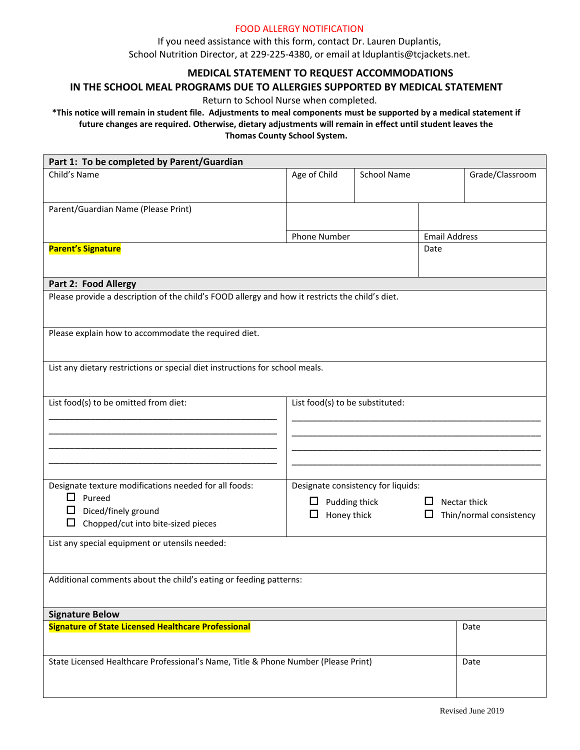## FOOD ALLERGY NOTIFICATION

If you need assistance with this form, contact Dr. Lauren Duplantis, School Nutrition Director, at 229-225-4380, or email at lduplantis@tcjackets.net.

# **MEDICAL STATEMENT TO REQUEST ACCOMMODATIONS**

### **IN THE SCHOOL MEAL PROGRAMS DUE TO ALLERGIES SUPPORTED BY MEDICAL STATEMENT**

Return to School Nurse when completed.

### **\*This notice will remain in student file. Adjustments to meal components must be supported by a medical statement if future changes are required. Otherwise, dietary adjustments will remain in effect until student leaves the Thomas County School System.**

| Part 1: To be completed by Parent/Guardian                                                      |                                    |                    |                      |                         |  |
|-------------------------------------------------------------------------------------------------|------------------------------------|--------------------|----------------------|-------------------------|--|
| Child's Name                                                                                    | Age of Child                       | <b>School Name</b> |                      | Grade/Classroom         |  |
|                                                                                                 |                                    |                    |                      |                         |  |
| Parent/Guardian Name (Please Print)                                                             |                                    |                    |                      |                         |  |
|                                                                                                 |                                    |                    |                      |                         |  |
|                                                                                                 | Phone Number                       |                    | <b>Email Address</b> |                         |  |
| <b>Parent's Signature</b>                                                                       |                                    |                    | Date                 |                         |  |
|                                                                                                 |                                    |                    |                      |                         |  |
| Part 2: Food Allergy                                                                            |                                    |                    |                      |                         |  |
| Please provide a description of the child's FOOD allergy and how it restricts the child's diet. |                                    |                    |                      |                         |  |
|                                                                                                 |                                    |                    |                      |                         |  |
| Please explain how to accommodate the required diet.                                            |                                    |                    |                      |                         |  |
|                                                                                                 |                                    |                    |                      |                         |  |
| List any dietary restrictions or special diet instructions for school meals.                    |                                    |                    |                      |                         |  |
|                                                                                                 |                                    |                    |                      |                         |  |
| List food(s) to be substituted:                                                                 |                                    |                    |                      |                         |  |
| List food(s) to be omitted from diet:                                                           |                                    |                    |                      |                         |  |
|                                                                                                 |                                    |                    |                      |                         |  |
|                                                                                                 |                                    |                    |                      |                         |  |
|                                                                                                 |                                    |                    |                      |                         |  |
|                                                                                                 |                                    |                    |                      |                         |  |
| Designate texture modifications needed for all foods:                                           | Designate consistency for liquids: |                    |                      |                         |  |
| $\Box$ Pureed<br>$\Box$                                                                         | Pudding thick                      |                    |                      | Nectar thick            |  |
| Diced/finely ground<br>Chopped/cut into bite-sized pieces<br>□                                  | Honey thick<br>ப                   |                    | ப                    | Thin/normal consistency |  |
|                                                                                                 |                                    |                    |                      |                         |  |
| List any special equipment or utensils needed:                                                  |                                    |                    |                      |                         |  |
|                                                                                                 |                                    |                    |                      |                         |  |
| Additional comments about the child's eating or feeding patterns:                               |                                    |                    |                      |                         |  |
|                                                                                                 |                                    |                    |                      |                         |  |
| <b>Signature Below</b>                                                                          |                                    |                    |                      |                         |  |
| <b>Signature of State Licensed Healthcare Professional</b>                                      |                                    |                    |                      | Date                    |  |
|                                                                                                 |                                    |                    |                      |                         |  |
| State Licensed Healthcare Professional's Name, Title & Phone Number (Please Print)              |                                    |                    |                      | Date                    |  |
|                                                                                                 |                                    |                    |                      |                         |  |
|                                                                                                 |                                    |                    |                      |                         |  |